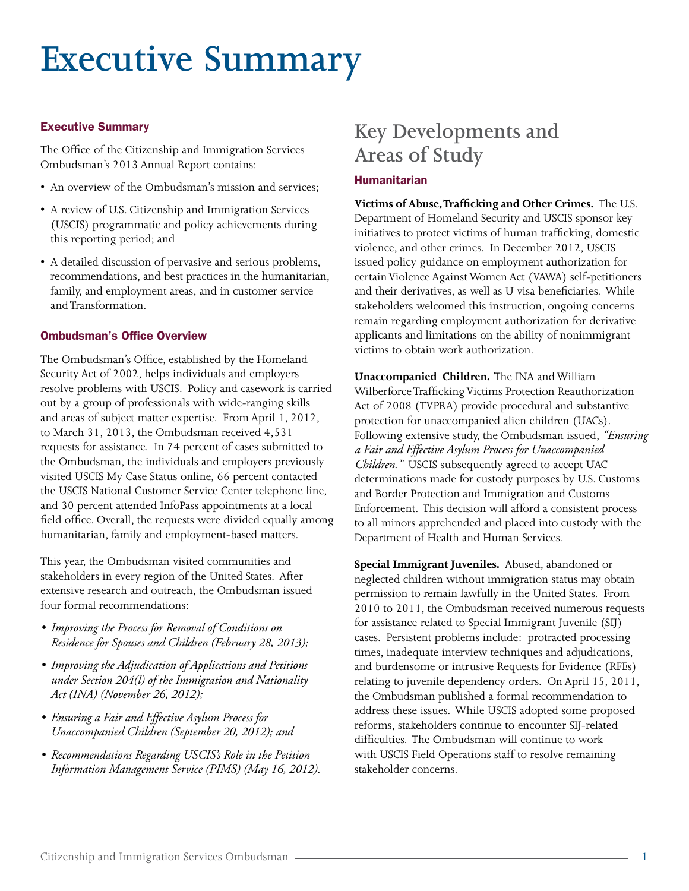# **Executive Summary**

### Executive Summary

The Office of the Citizenship and Immigration Services Ombudsman's 2013 Annual Report contains:

- An overview of the Ombudsman's mission and services;
- A review of U.S. Citizenship and Immigration Services (USCIS) programmatic and policy achievements during this reporting period; and
- A detailed discussion of pervasive and serious problems, recommendations, and best practices in the humanitarian, family, and employment areas, and in customer service and Transformation.

# Ombudsman's Office Overview

The Ombudsman's Office, established by the Homeland Security Act of 2002, helps individuals and employers resolve problems with USCIS. Policy and casework is carried out by a group of professionals with wide-ranging skills and areas of subject matter expertise. From April 1, 2012, to March 31, 2013, the Ombudsman received 4,531 requests for assistance. In 74 percent of cases submitted to the Ombudsman, the individuals and employers previously visited USCIS My Case Status online, 66 percent contacted the USCIS National Customer Service Center telephone line, and 30 percent attended InfoPass appointments at a local field office. Overall, the requests were divided equally among humanitarian, family and employment-based matters.

This year, the Ombudsman visited communities and stakeholders in every region of the United States. After extensive research and outreach, the Ombudsman issued four formal recommendations:

- *Improving the Process for Removal of Conditions on Residence for Spouses and Children (February 28, 2013);*
- *Improving the Adjudication of Applications and Petitions under Section 204(l) of the Immigration and Nationality Act (INA) (November 26, 2012);*
- *Ensuring a Fair and Effective Asylum Process for Unaccompanied Children (September 20, 2012); and*
- *Recommendations Regarding USCIS's Role in the Petition Information Management Service (PIMS) (May 16, 2012).*

# **Key Developments and Areas of Study**

# **Humanitarian**

 **Victims of Abuse,Trafficking and Other Crimes.** The U.S. Department of Homeland Security and USCIS sponsor key initiatives to protect victims of human trafficking, domestic violence, and other crimes. In December 2012, USCIS issued policy guidance on employment authorization for certain Violence Against Women Act (VAWA) self-petitioners and their derivatives, as well as U visa beneficiaries. While stakeholders welcomed this instruction, ongoing concerns remain regarding employment authorization for derivative applicants and limitations on the ability of nonimmigrant victims to obtain work authorization.

 **Unaccompanied Children.** The INA and William Wilberforce Trafficking Victims Protection Reauthorization Act of 2008 (TVPRA) provide procedural and substantive protection for unaccompanied alien children (UACs). Following extensive study, the Ombudsman issued, *"Ensuring a Fair and Effective Asylum Process for Unaccompanied Children."* USCIS subsequently agreed to accept UAC determinations made for custody purposes by U.S. Customs and Border Protection and Immigration and Customs Enforcement. This decision will afford a consistent process to all minors apprehended and placed into custody with the Department of Health and Human Services.

 **Special Immigrant Juveniles.** Abused, abandoned or neglected children without immigration status may obtain permission to remain lawfully in the United States. From 2010 to 2011, the Ombudsman received numerous requests for assistance related to Special Immigrant Juvenile (SIJ) cases. Persistent problems include: protracted processing times, inadequate interview techniques and adjudications, and burdensome or intrusive Requests for Evidence (RFEs) relating to juvenile dependency orders. On April 15, 2011, the Ombudsman published a formal recommendation to address these issues. While USCIS adopted some proposed reforms, stakeholders continue to encounter SIJ-related difficulties. The Ombudsman will continue to work with USCIS Field Operations staff to resolve remaining stakeholder concerns.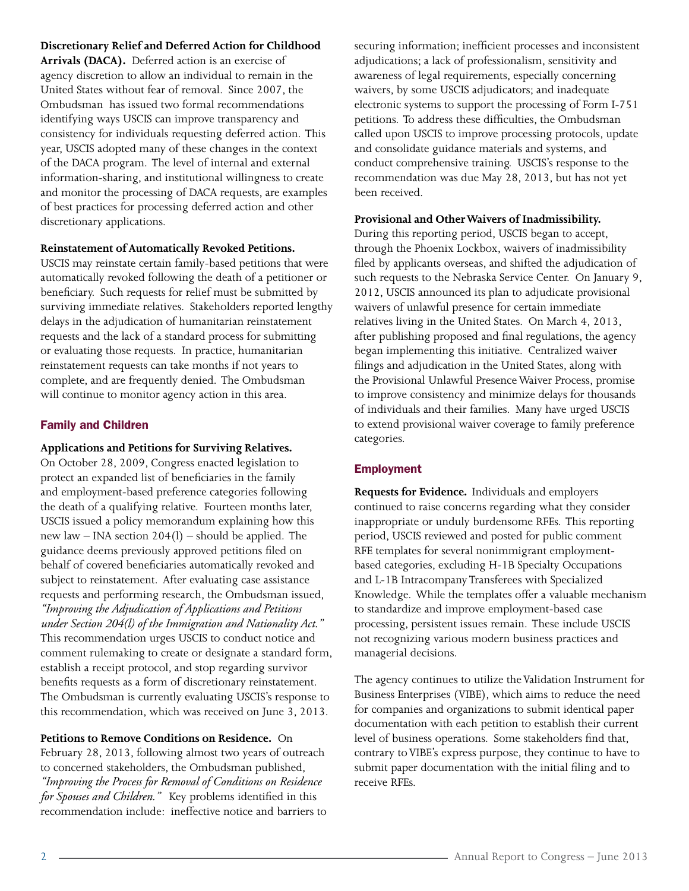#### **Discretionary Relief and Deferred Action for Childhood**

**Arrivals (DACA).** Deferred action is an exercise of agency discretion to allow an individual to remain in the United States without fear of removal. Since 2007, the Ombudsman has issued two formal recommendations identifying ways USCIS can improve transparency and consistency for individuals requesting deferred action. This year, USCIS adopted many of these changes in the context of the DACA program. The level of internal and external information-sharing, and institutional willingness to create and monitor the processing of DACA requests, are examples of best practices for processing deferred action and other discretionary applications.

#### **Reinstatement of Automatically Revoked Petitions.**

USCIS may reinstate certain family-based petitions that were automatically revoked following the death of a petitioner or beneficiary. Such requests for relief must be submitted by surviving immediate relatives. Stakeholders reported lengthy delays in the adjudication of humanitarian reinstatement requests and the lack of a standard process for submitting or evaluating those requests. In practice, humanitarian reinstatement requests can take months if not years to complete, and are frequently denied. The Ombudsman will continue to monitor agency action in this area.

#### Family and Children

#### **Applications and Petitions for Surviving Relatives.**

On October 28, 2009, Congress enacted legislation to protect an expanded list of beneficiaries in the family and employment-based preference categories following the death of a qualifying relative. Fourteen months later, USCIS issued a policy memorandum explaining how this new law – INA section 204(l) – should be applied. The guidance deems previously approved petitions filed on behalf of covered beneficiaries automatically revoked and subject to reinstatement. After evaluating case assistance requests and performing research, the Ombudsman issued, *"Improving the Adjudication of Applications and Petitions under Section 204(l) of the Immigration and Nationality Act."*  This recommendation urges USCIS to conduct notice and comment rulemaking to create or designate a standard form, establish a receipt protocol, and stop regarding survivor benefits requests as a form of discretionary reinstatement. The Ombudsman is currently evaluating USCIS's response to this recommendation, which was received on June 3, 2013.

**Petitions to Remove Conditions on Residence.** On February 28, 2013, following almost two years of outreach to concerned stakeholders, the Ombudsman published, *"Improving the Process for Removal of Conditions on Residence for Spouses and Children."* Key problems identified in this recommendation include: ineffective notice and barriers to securing information; inefficient processes and inconsistent adjudications; a lack of professionalism, sensitivity and awareness of legal requirements, especially concerning waivers, by some USCIS adjudicators; and inadequate electronic systems to support the processing of Form I-751 petitions. To address these difficulties, the Ombudsman called upon USCIS to improve processing protocols, update and consolidate guidance materials and systems, and conduct comprehensive training. USCIS's response to the recommendation was due May 28, 2013, but has not yet been received.

#### **Provisional and OtherWaivers of Inadmissibility.**

During this reporting period, USCIS began to accept, through the Phoenix Lockbox, waivers of inadmissibility filed by applicants overseas, and shifted the adjudication of such requests to the Nebraska Service Center. On January 9, 2012, USCIS announced its plan to adjudicate provisional waivers of unlawful presence for certain immediate relatives living in the United States. On March 4, 2013, after publishing proposed and final regulations, the agency began implementing this initiative. Centralized waiver filings and adjudication in the United States, along with the Provisional Unlawful Presence Waiver Process, promise to improve consistency and minimize delays for thousands of individuals and their families. Many have urged USCIS to extend provisional waiver coverage to family preference categories.

#### Employment

**Requests for Evidence.** Individuals and employers continued to raise concerns regarding what they consider inappropriate or unduly burdensome RFEs. This reporting period, USCIS reviewed and posted for public comment RFE templates for several nonimmigrant employmentbased categories, excluding H-1B Specialty Occupations and L-1B Intracompany Transferees with Specialized Knowledge. While the templates offer a valuable mechanism to standardize and improve employment-based case processing, persistent issues remain. These include USCIS not recognizing various modern business practices and managerial decisions.

The agency continues to utilize the Validation Instrument for Business Enterprises (VIBE), which aims to reduce the need for companies and organizations to submit identical paper documentation with each petition to establish their current level of business operations. Some stakeholders find that, contrary to VIBE's express purpose, they continue to have to submit paper documentation with the initial filing and to receive RFEs.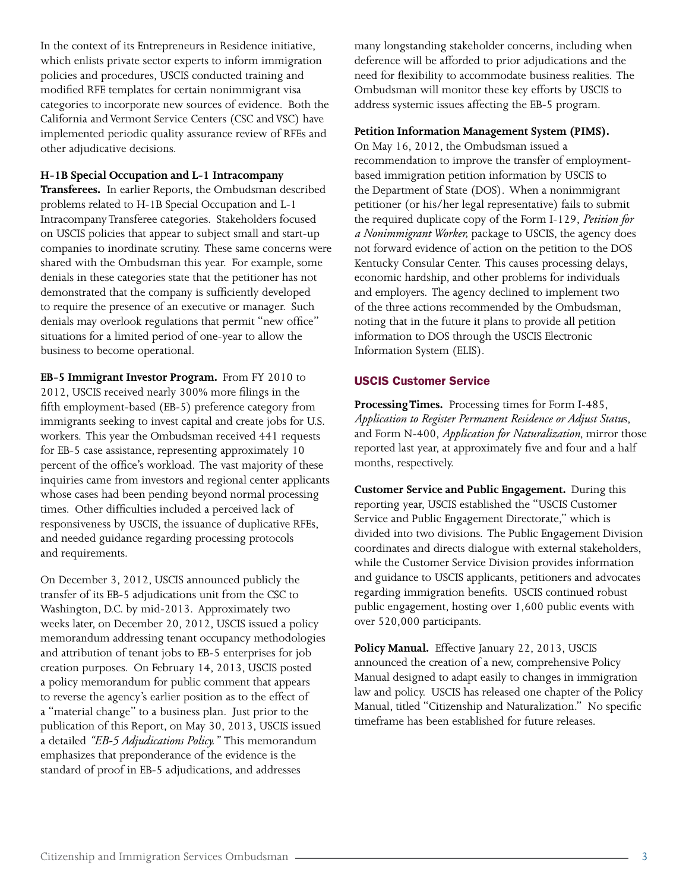In the context of its Entrepreneurs in Residence initiative, which enlists private sector experts to inform immigration policies and procedures, USCIS conducted training and modified RFE templates for certain nonimmigrant visa categories to incorporate new sources of evidence. Both the California and Vermont Service Centers (CSC and VSC) have implemented periodic quality assurance review of RFEs and other adjudicative decisions.

#### **H-1B Special Occupation and L-1 Intracompany**

 **Transferees.** In earlier Reports, the Ombudsman described problems related to H-1B Special Occupation and L-1 Intracompany Transferee categories. Stakeholders focused on USCIS policies that appear to subject small and start-up companies to inordinate scrutiny. These same concerns were shared with the Ombudsman this year. For example, some denials in these categories state that the petitioner has not demonstrated that the company is sufficiently developed to require the presence of an executive or manager. Such denials may overlook regulations that permit "new office" situations for a limited period of one-year to allow the business to become operational.

 **EB-5 Immigrant Investor Program.** From FY 2010 to 2012, USCIS received nearly 300% more filings in the fifth employment-based (EB-5) preference category from immigrants seeking to invest capital and create jobs for U.S. workers. This year the Ombudsman received 441 requests for EB-5 case assistance, representing approximately 10 percent of the office's workload. The vast majority of these inquiries came from investors and regional center applicants whose cases had been pending beyond normal processing times. Other difficulties included a perceived lack of responsiveness by USCIS, the issuance of duplicative RFEs, and needed guidance regarding processing protocols and requirements.

 On December 3, 2012, USCIS announced publicly the transfer of its EB-5 adjudications unit from the CSC to Washington, D.C. by mid-2013. Approximately two weeks later, on December 20, 2012, USCIS issued a policy memorandum addressing tenant occupancy methodologies and attribution of tenant jobs to EB-5 enterprises for job creation purposes. On February 14, 2013, USCIS posted a policy memorandum for public comment that appears to reverse the agency's earlier position as to the effect of a "material change" to a business plan. Just prior to the publication of this Report, on May 30, 2013, USCIS issued a detailed *"EB-5 Adjudications Policy."* This memorandum emphasizes that preponderance of the evidence is the standard of proof in EB-5 adjudications, and addresses

 many longstanding stakeholder concerns, including when deference will be afforded to prior adjudications and the need for flexibility to accommodate business realities. The Ombudsman will monitor these key efforts by USCIS to address systemic issues affecting the EB-5 program.

#### **Petition Information Management System (PIMS).**

 On May 16, 2012, the Ombudsman issued a recommendation to improve the transfer of employment- based immigration petition information by USCIS to the Department of State (DOS). When a nonimmigrant petitioner (or his/her legal representative) fails to submit the required duplicate copy of the Form I-129, *Petition for*  the required duplicate copy of the Form I-129, *Petition for a Nonimmigrant Worker,* package to USCIS, the agency does not forward evidence of action on the petition to the DOS Kentucky Consular Center. This causes processing delays, economic hardship, and other problems for individuals and employers. The agency declined to implement two of the three actions recommended by the Ombudsman, noting that in the future it plans to provide all petition information to DOS through the USCIS Electronic Information System (ELIS).

# USCIS Customer Service

 **Processing Times.** Processing times for Form I-485,  *Application to Register Permanent Residence or Adjust Statu*s,  and Form N-400, *Application for Naturalization*, mirror those reported last year, at approximately five and four and a half months, respectively.

 **Customer Service and Public Engagement.** During this reporting year, USCIS established the "USCIS Customer Service and Public Engagement Directorate," which is divided into two divisions. The Public Engagement Division coordinates and directs dialogue with external stakeholders, while the Customer Service Division provides information and guidance to USCIS applicants, petitioners and advocates regarding immigration benefits. USCIS continued robust public engagement, hosting over 1,600 public events with over 520,000 participants.

 **Policy Manual.** Effective January 22, 2013, USCIS announced the creation of a new, comprehensive Policy Manual designed to adapt easily to changes in immigration law and policy. USCIS has released one chapter of the Policy Manual, titled "Citizenship and Naturalization." No specific timeframe has been established for future releases.